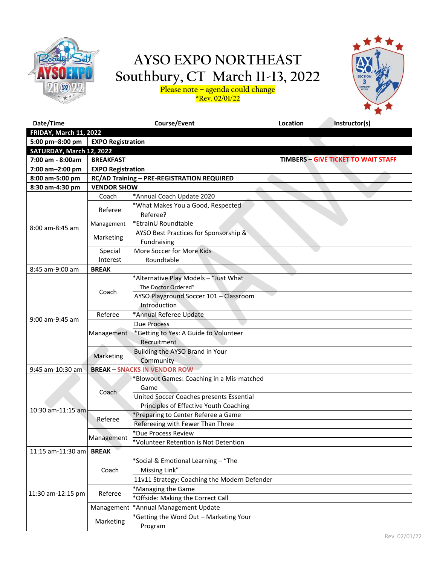

### **AYSO EXPO NORTHEAST Southbury, CT March 11-13, 2022 Please note – agenda could change**

**\*Rev. 02/01/22**



| Date/Time                     |                          | Course/Event                                                                                           | Location | Instructor(s)                              |
|-------------------------------|--------------------------|--------------------------------------------------------------------------------------------------------|----------|--------------------------------------------|
| <b>FRIDAY, March 11, 2022</b> |                          |                                                                                                        |          |                                            |
| 5:00 pm-8:00 pm               | <b>EXPO Registration</b> |                                                                                                        |          |                                            |
| SATURDAY, March 12, 2022      |                          |                                                                                                        |          |                                            |
| 7:00 am - 8:00am              | <b>BREAKFAST</b>         |                                                                                                        |          | <b>TIMBERS - GIVE TICKET TO WAIT STAFF</b> |
| 7:00 am-2:00 pm               | <b>EXPO Registration</b> |                                                                                                        |          |                                            |
| 8:00 am-5:00 pm               |                          | RC/AD Training - PRE-REGISTRATION REQUIRED                                                             |          |                                            |
| 8:30 am-4:30 pm               | <b>VENDOR SHOW</b>       |                                                                                                        |          |                                            |
|                               | Coach                    | *Annual Coach Update 2020                                                                              |          |                                            |
|                               | Referee                  | *What Makes You a Good, Respected<br>Referee?                                                          |          |                                            |
|                               | Management               | *EtrainU Roundtable                                                                                    |          |                                            |
| 8:00 am-8:45 am               | Marketing                | AYSO Best Practices for Sponsorship &<br>Fundraising                                                   |          |                                            |
|                               | Special<br>Interest      | More Soccer for More Kids<br>Roundtable                                                                |          |                                            |
| 8:45 am-9:00 am               | <b>BREAK</b>             |                                                                                                        |          |                                            |
|                               | Coach                    | *Alternative Play Models - "Just What<br>The Doctor Ordered"<br>AYSO Playground Soccer 101 - Classroom |          |                                            |
|                               |                          | Introduction                                                                                           |          |                                            |
| 9:00 am-9:45 am               | Referee                  | *Annual Referee Update                                                                                 |          |                                            |
|                               | Management               | <b>Due Process</b>                                                                                     |          |                                            |
|                               |                          | *Getting to Yes: A Guide to Volunteer<br>Recruitment                                                   |          |                                            |
|                               | Marketing                | Building the AYSO Brand in Your<br>Community                                                           |          |                                            |
| 9:45 am-10:30 am              |                          | <b>BREAK - SNACKS IN VENDOR ROW</b>                                                                    |          |                                            |
| 10:30 am-11:15 am             | Coach                    | *Blowout Games: Coaching in a Mis-matched<br>Game                                                      |          |                                            |
|                               |                          | United Soccer Coaches presents Essential<br>Principles of Effective Youth Coaching                     |          |                                            |
|                               | Referee                  | *Preparing to Center Referee a Game                                                                    |          |                                            |
|                               |                          | Refereeing with Fewer Than Three                                                                       |          |                                            |
|                               | Management               | *Due Process Review                                                                                    |          |                                            |
|                               |                          | *Volunteer Retention is Not Detention                                                                  |          |                                            |
| 11:15 am-11:30 am             | <b>BREAK</b>             |                                                                                                        |          |                                            |
|                               | Coach                    | *Social & Emotional Learning - "The<br>Missing Link"                                                   |          |                                            |
|                               |                          | 11v11 Strategy: Coaching the Modern Defender                                                           |          |                                            |
|                               | Referee                  | *Managing the Game                                                                                     |          |                                            |
| 11:30 am-12:15 pm             |                          | *Offside: Making the Correct Call                                                                      |          |                                            |
|                               | Management               | *Annual Management Update                                                                              |          |                                            |
|                               |                          | *Getting the Word Out - Marketing Your                                                                 |          |                                            |
|                               | Marketing                | Program                                                                                                |          |                                            |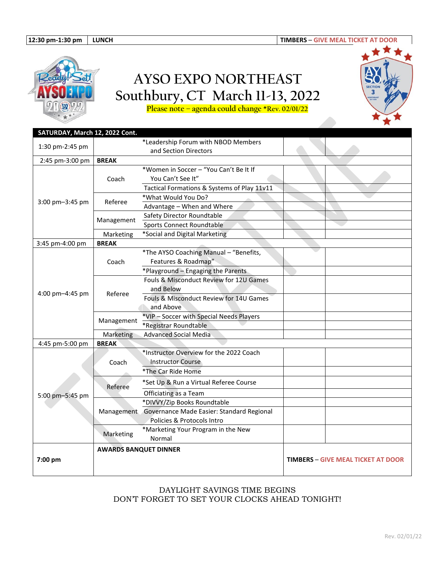

# **AYSO EXPO NORTHEAST Southbury, CT March 11-13, 2022**



**Please note – agenda could change \*Rev. 02/01/22**

| SATURDAY, March 12, 2022 Cont. |                              |                                                      |                                           |  |
|--------------------------------|------------------------------|------------------------------------------------------|-------------------------------------------|--|
|                                |                              | *Leadership Forum with NBOD Members                  |                                           |  |
| 1:30 pm-2:45 pm                |                              | and Section Directors                                |                                           |  |
| 2:45 pm-3:00 pm                | <b>BREAK</b>                 |                                                      |                                           |  |
| 3:00 pm-3:45 pm                |                              | *Women in Soccer - "You Can't Be It If               |                                           |  |
|                                | Coach                        | You Can't See It"                                    |                                           |  |
|                                |                              | Tactical Formations & Systems of Play 11v11          |                                           |  |
|                                | Referee                      | *What Would You Do?                                  |                                           |  |
|                                |                              | Advantage - When and Where                           |                                           |  |
|                                | Management                   | Safety Director Roundtable                           |                                           |  |
|                                |                              | Sports Connect Roundtable                            |                                           |  |
|                                | Marketing                    | *Social and Digital Marketing                        |                                           |  |
| 3:45 pm-4:00 pm                | <b>BREAK</b>                 |                                                      |                                           |  |
|                                |                              | *The AYSO Coaching Manual - "Benefits,               |                                           |  |
|                                | Coach                        | Features & Roadmap"                                  |                                           |  |
|                                |                              | *Playground - Engaging the Parents                   |                                           |  |
|                                |                              | Fouls & Misconduct Review for 12U Games              |                                           |  |
| 4:00 pm-4:45 pm                | Referee                      | and Below                                            |                                           |  |
|                                |                              | Fouls & Misconduct Review for 14U Games              |                                           |  |
|                                |                              | and Above                                            |                                           |  |
|                                | Management                   | *VIP-Soccer with Special Needs Players               |                                           |  |
|                                |                              | *Registrar Roundtable                                |                                           |  |
|                                | Marketing                    | <b>Advanced Social Media</b>                         |                                           |  |
| 4:45 pm-5:00 pm                | <b>BREAK</b>                 |                                                      |                                           |  |
|                                | Coach                        | *Instructor Overview for the 2022 Coach              |                                           |  |
|                                |                              | <b>Instructor Course</b>                             |                                           |  |
|                                |                              | *The Car Ride Home                                   |                                           |  |
|                                | Referee                      | *Set Up & Run a Virtual Referee Course               |                                           |  |
| 5:00 pm-5:45 pm                |                              | Officiating as a Team                                |                                           |  |
|                                |                              | *DIVVY/Zip Books Roundtable                          |                                           |  |
|                                |                              | Management Governance Made Easier: Standard Regional |                                           |  |
|                                |                              | Policies & Protocols Intro                           |                                           |  |
|                                | Marketing                    | *Marketing Your Program in the New                   |                                           |  |
|                                |                              | Normal                                               |                                           |  |
| 7:00 pm                        | <b>AWARDS BANQUET DINNER</b> |                                                      |                                           |  |
|                                |                              |                                                      | <b>TIMBERS - GIVE MEAL TICKET AT DOOR</b> |  |
|                                |                              |                                                      |                                           |  |
|                                |                              |                                                      |                                           |  |

#### DAYLIGHT SAVINGS TIME BEGINS DON'T FORGET TO SET YOUR CLOCKS AHEAD TONIGHT!